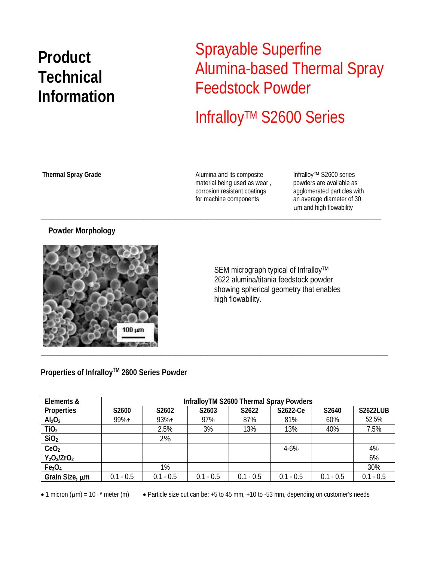## **Product Technical Information**

### Sprayable Superfine Alumina-based Thermal Spray Feedstock Powder

# InfralloyTM S2600 Series

Alumina and its composite **Thermal Spray Grade** Infralloy™ S2600 series material being used as wear , corrosion resistant coatings for machine components

\_\_\_\_\_\_\_\_\_\_\_\_\_\_\_\_\_\_\_\_\_\_\_\_\_\_\_\_\_\_\_\_\_\_\_\_\_\_\_\_\_\_\_\_\_\_\_\_\_\_\_\_\_\_\_\_\_\_\_\_\_\_\_\_\_\_\_\_\_\_\_\_\_\_\_\_\_\_\_\_\_\_\_\_\_\_\_\_\_\_\_\_\_\_\_\_

powders are available as agglomerated particles with an average diameter of 30 μm and high flowability

#### **Powder Morphology**



SEM micrograph typical of Infralloy™ 2622 alumina/titania feedstock powder showing spherical geometry that enables high flowability.

### **Properties of InfralloyTM 2600 Series Powder**

| Elements &                     | InfralloyTM S2600 Thermal Spray Powders |             |             |             |             |             |                 |
|--------------------------------|-----------------------------------------|-------------|-------------|-------------|-------------|-------------|-----------------|
| <b>Properties</b>              | S <sub>2600</sub>                       | S2602       | S2603       | S2622       | S2622-Ce    | S2640       | <b>S2622LUB</b> |
| Al <sub>2</sub> O <sub>3</sub> | 99%+                                    | $93%+$      | 97%         | 87%         | 81%         | 60%         | 52.5%           |
| TiO <sub>2</sub>               |                                         | 2.5%        | 3%          | 13%         | 13%         | 40%         | 7.5%            |
| SiO <sub>2</sub>               |                                         | 2%          |             |             |             |             |                 |
| CeO <sub>2</sub>               |                                         |             |             |             | $4 - 6%$    |             | 4%              |
| $Y_2O_3/ZrO_2$                 |                                         |             |             |             |             |             | 6%              |
| Fe <sub>3</sub> O <sub>4</sub> |                                         | 1%          |             |             |             |             | 30%             |
| Grain Size, um                 | $0.1 - 0.5$                             | $0.1 - 0.5$ | $0.1 - 0.5$ | $0.1 - 0.5$ | $0.1 - 0.5$ | $0.1 - 0.5$ | $0.1 - 0.5$     |

• 1 micron ( $\mu$ m) = 10 <sup>-6</sup> meter (m) • Particle size cut can be: +5 to 45 mm, +10 to -53 mm, depending on customer's needs